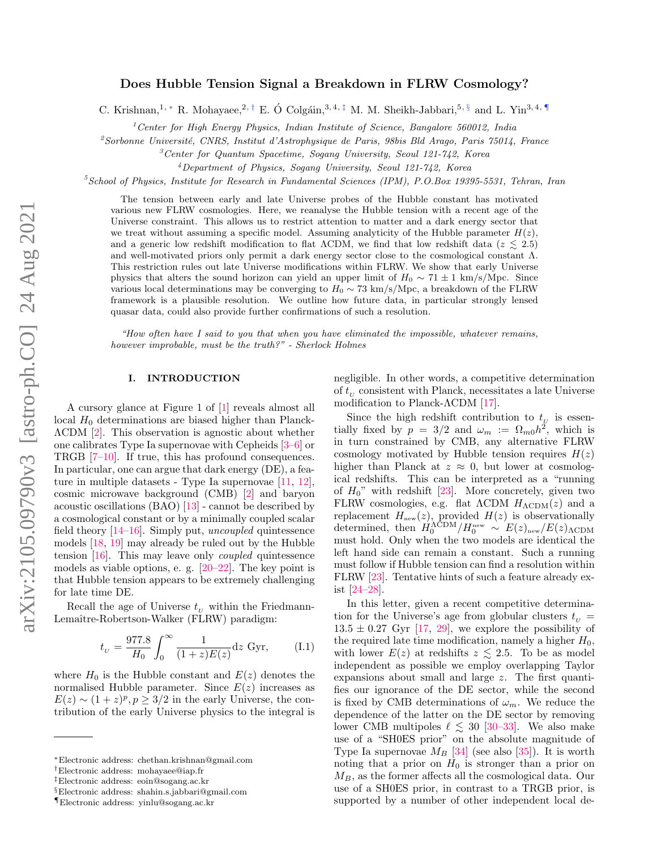# Does Hubble Tension Signal a Breakdown in FLRW Cosmology?

C. Krishnan,<sup>1, \*</sup> R. Mohayaee,<sup>2,[†](#page-0-1)</sup> E. Ó Colgáin,<sup>3,4,[‡](#page-0-2)</sup> M. M. Sheikh-Jabbari,<sup>5, [§](#page-0-3)</sup> and L. Yin<sup>3,4,[¶](#page-0-4)</sup>

 $1$ <sup>1</sup> Center for High Energy Physics, Indian Institute of Science, Bangalore 560012, India

 $2$ Sorbonne Université, CNRS, Institut d'Astrophysique de Paris, 98bis Bld Arago, Paris 75014, France

<sup>3</sup>Center for Quantum Spacetime, Sogang University, Seoul 121-742, Korea

<sup>4</sup>Department of Physics, Sogang University, Seoul 121-742, Korea

 $5School$  of Physics, Institute for Research in Fundamental Sciences (IPM), P.O.Box 19395-5531, Tehran, Iran

The tension between early and late Universe probes of the Hubble constant has motivated various new FLRW cosmologies. Here, we reanalyse the Hubble tension with a recent age of the Universe constraint. This allows us to restrict attention to matter and a dark energy sector that we treat without assuming a specific model. Assuming analyticity of the Hubble parameter  $H(z)$ . and a generic low redshift modification to flat  $\Lambda$ CDM, we find that low redshift data ( $z \leq 2.5$ ) and well-motivated priors only permit a dark energy sector close to the cosmological constant Λ. This restriction rules out late Universe modifications within FLRW. We show that early Universe physics that alters the sound horizon can yield an upper limit of  $H_0 \sim 71 \pm 1 \text{ km/s/Mpc}$ . Since various local determinations may be converging to  $H_0 \sim 73 \text{ km/s/Mpc}$ , a breakdown of the FLRW framework is a plausible resolution. We outline how future data, in particular strongly lensed quasar data, could also provide further confirmations of such a resolution.

"How often have I said to you that when you have eliminated the impossible, whatever remains, however improbable, must be the truth?" - Sherlock Holmes

# I. INTRODUCTION

A cursory glance at Figure 1 of [\[1\]](#page-6-0) reveals almost all local  $H_0$  determinations are biased higher than Planck-ΛCDM [\[2\]](#page-7-0). This observation is agnostic about whether one calibrates Type Ia supernovae with Cepheids [\[3](#page-7-1)[–6\]](#page-7-2) or TRGB [\[7](#page-7-3)[–10\]](#page-7-4). If true, this has profound consequences. In particular, one can argue that dark energy (DE), a feature in multiple datasets - Type Ia supernovae  $[11, 12]$  $[11, 12]$  $[11, 12]$ , cosmic microwave background (CMB) [\[2\]](#page-7-0) and baryon acoustic oscillations (BAO) [\[13\]](#page-7-7) - cannot be described by a cosmological constant or by a minimally coupled scalar field theory [\[14–](#page-7-8)[16\]](#page-7-9). Simply put, uncoupled quintessence models [\[18,](#page-7-10) [19\]](#page-7-11) may already be ruled out by the Hubble tension [\[16\]](#page-7-9). This may leave only coupled quintessence models as viable options, e. g.  $[20-22]$  $[20-22]$ . The key point is that Hubble tension appears to be extremely challenging for late time DE.

Recall the age of Universe  $t_U$  within the Friedmann-Lemaître-Robertson-Walker (FLRW) paradigm:

$$
t_{\nu} = \frac{977.8}{H_0} \int_0^{\infty} \frac{1}{(1+z)E(z)} dz \text{ Gyr}, \quad (I.1)
$$

where  $H_0$  is the Hubble constant and  $E(z)$  denotes the normalised Hubble parameter. Since  $E(z)$  increases as  $E(z) \sim (1+z)^p, p \geq 3/2$  in the early Universe, the contribution of the early Universe physics to the integral is negligible. In other words, a competitive determination % of  $t_U$  consistent with Planck, necessitates a late Universe modification to Planck-ΛCDM [\[17\]](#page-7-14).

Since the high redshift contribution to  $t_y$  is essentially fixed by  $p = 3/2$  and  $\omega_m := \Omega_{m0} h^2$ , which is in turn constrained by CMB, any alternative FLRW cosmology motivated by Hubble tension requires  $H(z)$ higher than Planck at  $z \approx 0$ , but lower at cosmological redshifts. This can be interpreted as a "running of  $H_0$ " with redshift [\[23\]](#page-7-15). More concretely, given two FLRW cosmologies, e.g. flat  $\Lambda$ CDM  $H_{\Lambda \rm CDM}(z)$  and a replacement  $H_{\text{new}}(z)$ , provided  $H(z)$  is observationally determined, then  $H_0^{\Lambda \text{CDM}}/H_0^{\text{new}} \sim E(z)_{\text{new}}/E(z)_{\Lambda \text{CDM}}$ must hold. Only when the two models are identical the left hand side can remain a constant. Such a running must follow if Hubble tension can find a resolution within FLRW [\[23\]](#page-7-15). Tentative hints of such a feature already exist [\[24–](#page-7-16)[28\]](#page-7-17).

In this letter, given a recent competitive determination for the Universe's age from globular clusters  $t_{U}$  =  $13.5 \pm 0.27$  Gyr [\[17,](#page-7-14) [29\]](#page-7-18), we explore the possibility of the required late time modification, namely a higher  $H_0$ , with lower  $E(z)$  at redshifts  $z \leq 2.5$ . To be as model independent as possible we employ overlapping Taylor expansions about small and large z. The first quantifies our ignorance of the DE sector, while the second is fixed by CMB determinations of  $\omega_m$ . We reduce the dependence of the latter on the DE sector by removing lower CMB multipoles  $\ell \lesssim 30$  [\[30](#page-7-19)[–33\]](#page-7-20). We also make use of a "SH0ES prior" on the absolute magnitude of Type Ia supernovae  $M_B$  [\[34\]](#page-7-21) (see also [\[35\]](#page-7-22)). It is worth noting that a prior on  $H_0$  is stronger than a prior on  $M_B$ , as the former affects all the cosmological data. Our use of a SH0ES prior, in contrast to a TRGB prior, is supported by a number of other independent local de-

<span id="page-0-0"></span><sup>∗</sup>Electronic address: chethan.krishnan@gmail.com

<span id="page-0-1"></span><sup>†</sup>Electronic address: mohayaee@iap.fr

<span id="page-0-2"></span><sup>‡</sup>Electronic address: eoin@sogang.ac.kr

<span id="page-0-3"></span><sup>§</sup>Electronic address: shahin.s.jabbari@gmail.com

<span id="page-0-4"></span><sup>¶</sup>Electronic address: yinlu@sogang.ac.kr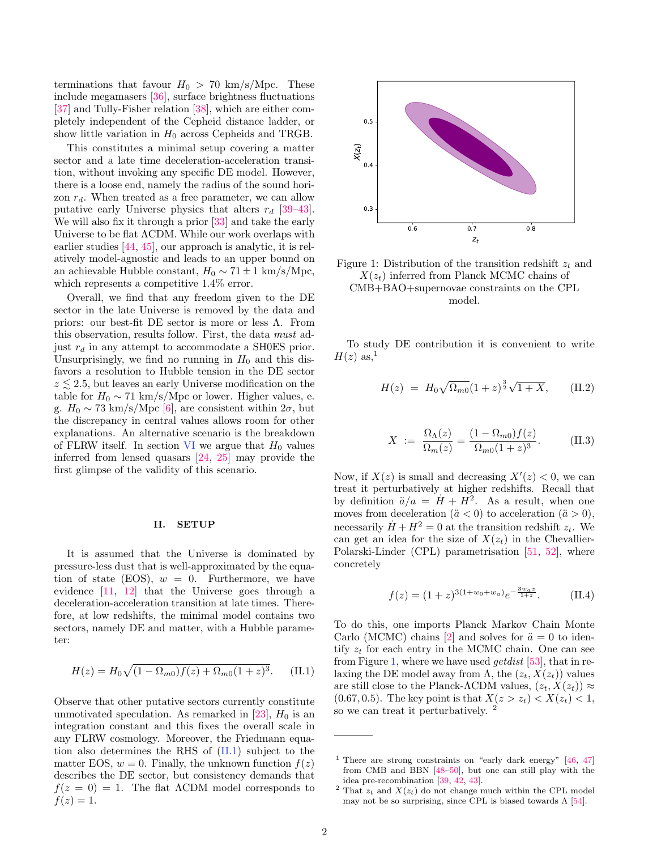terminations that favour  $H_0 > 70$  km/s/Mpc. These include megamasers [\[36\]](#page-7-23), surface brightness fluctuations [\[37\]](#page-7-24) and Tully-Fisher relation [\[38\]](#page-7-25), which are either completely independent of the Cepheid distance ladder, or show little variation in  $H_0$  across Cepheids and TRGB.

This constitutes a minimal setup covering a matter sector and a late time deceleration-acceleration transition, without invoking any specific DE model. However, there is a loose end, namely the radius of the sound horizon  $r_d$ . When treated as a free parameter, we can allow putative early Universe physics that alters  $r_d$  [\[39–](#page-7-26)[43\]](#page-7-27). We will also fix it through a prior [\[33\]](#page-7-20) and take the early Universe to be flat ΛCDM. While our work overlaps with earlier studies [\[44,](#page-7-28) [45\]](#page-7-29), our approach is analytic, it is relatively model-agnostic and leads to an upper bound on an achievable Hubble constant,  $H_0 \sim 71 \pm 1 \text{ km/s/Mpc}$ , which represents a competitive  $1.4\%$  error.

Overall, we find that any freedom given to the DE sector in the late Universe is removed by the data and priors: our best-fit DE sector is more or less Λ. From this observation, results follow. First, the data must adjust  $r_d$  in any attempt to accommodate a SH0ES prior. Unsurprisingly, we find no running in  $H_0$  and this disfavors a resolution to Hubble tension in the DE sector  $z \lesssim 2.5$ , but leaves an early Universe modification on the table for  $H_0 \sim 71 \text{ km/s/Mpc}$  or lower. Higher values, e. g.  $H_0 \sim 73 \text{ km/s/Mpc }[6]$  $H_0 \sim 73 \text{ km/s/Mpc }[6]$ , are consistent within  $2\sigma$ , but the discrepancy in central values allows room for other explanations. An alternative scenario is the breakdown of FLRW itself. In section [VI](#page-4-0) we argue that  $H_0$  values inferred from lensed quasars [\[24,](#page-7-16) [25\]](#page-7-30) may provide the first glimpse of the validity of this scenario.

## II. SETUP

It is assumed that the Universe is dominated by pressure-less dust that is well-approximated by the equation of state (EOS),  $w = 0$ . Furthermore, we have evidence [\[11,](#page-7-5) [12\]](#page-7-6) that the Universe goes through a deceleration-acceleration transition at late times. Therefore, at low redshifts, the minimal model contains two sectors, namely DE and matter, with a Hubble parameter:

<span id="page-1-0"></span>
$$
H(z) = H_0 \sqrt{(1 - \Omega_{m0}) f(z) + \Omega_{m0} (1 + z)^3}.
$$
 (II.1)

Observe that other putative sectors currently constitute unmotivated speculation. As remarked in  $[23]$ ,  $H_0$  is an integration constant and this fixes the overall scale in any FLRW cosmology. Moreover, the Friedmann equation also determines the RHS of [\(II.1\)](#page-1-0) subject to the matter EOS,  $w = 0$ . Finally, the unknown function  $f(z)$ describes the DE sector, but consistency demands that  $f(z = 0) = 1$ . The flat  $\Lambda$ CDM model corresponds to  $f(z) = 1.$ 

<span id="page-1-1"></span>

Figure 1: Distribution of the transition redshift  $z_t$  and  $X(z_t)$  inferred from Planck MCMC chains of CMB+BAO+supernovae constraints on the CPL model.

To study DE contribution it is convenient to write  $H(z)$  as,<sup>1</sup>

<span id="page-1-2"></span>
$$
H(z) = H_0 \sqrt{\Omega_{m0}} (1+z)^{\frac{3}{2}} \sqrt{1+X}, \quad (II.2)
$$

$$
X := \frac{\Omega_{\Lambda}(z)}{\Omega_m(z)} = \frac{(1 - \Omega_{m0})f(z)}{\Omega_{m0}(1 + z)^3}.
$$
 (II.3)

Now, if  $X(z)$  is small and decreasing  $X'(z) < 0$ , we can treat it perturbatively at higher redshifts. Recall that by definition  $\ddot{a}/a = \dot{H} + H^2$ . As a result, when one moves from deceleration  $(\ddot{a} < 0)$  to acceleration  $(\ddot{a} > 0)$ , necessarily  $\dot{H} + H^2 = 0$  at the transition redshift  $z_t$ . We can get an idea for the size of  $X(z_t)$  in the Chevallier-Polarski-Linder (CPL) parametrisation [\[51,](#page-8-0) [52\]](#page-8-1), where concretely

<span id="page-1-3"></span>
$$
f(z) = (1+z)^{3(1+w_0+w_a)}e^{-\frac{3w_a z}{1+z}}.
$$
 (II.4)

To do this, one imports Planck Markov Chain Monte Carlo (MCMC) chains [\[2\]](#page-7-0) and solves for  $\ddot{a} = 0$  to identify  $z_t$  for each entry in the MCMC chain. One can see from Figure [1,](#page-1-1) where we have used *get dist* [\[53\]](#page-8-2), that in relaxing the DE model away from  $\Lambda$ , the  $(z_t, X(z_t))$  values are still close to the Planck-ΛCDM values,  $(z_t, X(z_t)) \approx$ (0.67, 0.5). The key point is that  $X(z > z_t) < X(z_t) < 1$ , so we can treat it perturbatively. <sup>2</sup>

<sup>&</sup>lt;sup>1</sup> There are strong constraints on "early dark energy"  $[46, 47]$  $[46, 47]$  $[46, 47]$ from CMB and BBN [\[48–](#page-8-3)[50\]](#page-8-4), but one can still play with the idea pre-recombination [\[39,](#page-7-26) [42,](#page-7-33) [43\]](#page-7-27).

<sup>&</sup>lt;sup>2</sup> That  $z_t$  and  $X(z_t)$  do not change much within the CPL model may not be so surprising, since CPL is biased towards  $\Lambda$  [\[54\]](#page-8-5).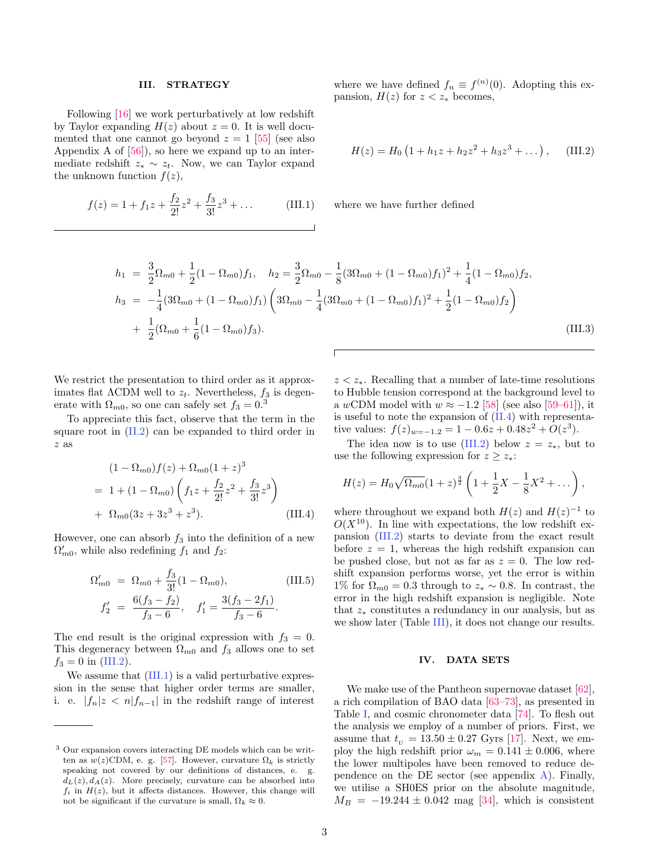#### III. STRATEGY

Following [\[16\]](#page-7-9) we work perturbatively at low redshift by Taylor expanding  $H(z)$  about  $z = 0$ . It is well documented that one cannot go beyond  $z = 1$  [\[55\]](#page-8-6) (see also Appendix A of [\[56\]](#page-8-7)), so here we expand up to an intermediate redshift  $z_* \sim z_t$ . Now, we can Taylor expand the unknown function  $f(z)$ ,

<span id="page-2-1"></span>
$$
f(z) = 1 + f_1 z + \frac{f_2}{2!} z^2 + \frac{f_3}{3!} z^3 + \dots
$$
 (III.1)

where we have defined 
$$
f_n \equiv f^{(n)}(0)
$$
. Adopting this expansion,  $H(z)$  for  $z < z_*$  becomes,

<span id="page-2-0"></span>
$$
H(z) = H_0 \left( 1 + h_1 z + h_2 z^2 + h_3 z^3 + \dots \right), \quad \text{(III.2)}
$$

where we have further defined

$$
h_1 = \frac{3}{2}\Omega_{m0} + \frac{1}{2}(1 - \Omega_{m0})f_1, \quad h_2 = \frac{3}{2}\Omega_{m0} - \frac{1}{8}(3\Omega_{m0} + (1 - \Omega_{m0})f_1)^2 + \frac{1}{4}(1 - \Omega_{m0})f_2,
$$
  
\n
$$
h_3 = -\frac{1}{4}(3\Omega_{m0} + (1 - \Omega_{m0})f_1)\left(3\Omega_{m0} - \frac{1}{4}(3\Omega_{m0} + (1 - \Omega_{m0})f_1)^2 + \frac{1}{2}(1 - \Omega_{m0})f_2\right)
$$
  
\n
$$
+ \frac{1}{2}(\Omega_{m0} + \frac{1}{6}(1 - \Omega_{m0})f_3).
$$
\n(III.3)

We restrict the presentation to third order as it approximates flat  $\Lambda$ CDM well to  $z_t$ . Nevertheless,  $f_3$  is degenerate with  $\Omega_{m0}$ , so one can safely set  $f_3 = 0.3$ 

To appreciate this fact, observe that the term in the square root in [\(II.2\)](#page-1-2) can be expanded to third order in z as

$$
(1 - \Omega_{m0})f(z) + \Omega_{m0}(1 + z)^3
$$
  
= 1 + (1 - \Omega\_{m0}) \left( f\_1 z + \frac{f\_2}{2!} z^2 + \frac{f\_3}{3!} z^3 \right)  
+ \Omega\_{m0}(3z + 3z^3 + z^3). (III.4)

However, one can absorb  $f_3$  into the definition of a new  $\Omega'_{m0}$ , while also redefining  $f_1$  and  $f_2$ :

$$
\Omega'_{m0} = \Omega_{m0} + \frac{f_3}{3!} (1 - \Omega_{m0}),
$$
\n(III.5)\n
$$
f'_2 = \frac{6(f_3 - f_2)}{f_3 - 6}, \quad f'_1 = \frac{3(f_3 - 2f_1)}{f_3 - 6}.
$$

The end result is the original expression with  $f_3 = 0$ . This degeneracy between  $\Omega_{m0}$  and  $f_3$  allows one to set  $f_3 = 0$  in [\(III.2\)](#page-2-0).

We assume that  $(III.1)$  is a valid perturbative expression in the sense that higher order terms are smaller, i. e.  $|f_n|z < n|f_{n-1}|$  in the redshift range of interest  $z \leq z_*$ . Recalling that a number of late-time resolutions to Hubble tension correspond at the background level to a wCDM model with  $w \approx -1.2$  [\[58\]](#page-8-9) (see also [\[59](#page-8-10)[–61\]](#page-8-11)), it is useful to note the expansion of [\(II.4\)](#page-1-3) with representative values:  $f(z)_{w=-1.2} = 1 - 0.6z + 0.48z^2 + O(z^3)$ .

The idea now is to use  $(III.2)$  below  $z = z_*$ , but to use the following expression for  $z \geq z^*$ :

$$
H(z) = H_0 \sqrt{\Omega_{m0}} (1+z)^{\frac{3}{2}} \left( 1 + \frac{1}{2} X - \frac{1}{8} X^2 + \dots \right),
$$

where throughout we expand both  $H(z)$  and  $H(z)^{-1}$  to  $O(X^{10})$ . In line with expectations, the low redshift expansion [\(III.2\)](#page-2-0) starts to deviate from the exact result before  $z = 1$ , whereas the high redshift expansion can be pushed close, but not as far as  $z = 0$ . The low redshift expansion performs worse, yet the error is within 1% for  $\Omega_{m0} = 0.3$  through to  $z_* \sim 0.8$ . In contrast, the error in the high redshift expansion is negligible. Note that  $z_*$  constitutes a redundancy in our analysis, but as we show later (Table [III\)](#page-3-0), it does not change our results.

# IV. DATA SETS

We make use of the Pantheon supernovae dataset [\[62\]](#page-8-12), a rich compilation of BAO data [\[63–](#page-8-13)[73\]](#page-8-14), as presented in Table [I,](#page-3-1) and cosmic chronometer data [\[74\]](#page-8-15). To flesh out the analysis we employ of a number of priors. First, we assume that  $t_U = 13.50 \pm 0.27$  Gyrs [\[17\]](#page-7-14). Next, we employ the high redshift prior  $\omega_m = 0.141 \pm 0.006$ , where the lower multipoles have been removed to reduce dependence on the DE sector (see appendix  $\bf{A}$ ). Finally, we utilise a SH0ES prior on the absolute magnitude,  $M_B = -19.244 \pm 0.042$  mag [\[34\]](#page-7-21), which is consistent

<sup>3</sup> Our expansion covers interacting DE models which can be written as  $w(z)$ CDM, e. g. [\[57\]](#page-8-8). However, curvature  $\Omega_k$  is strictly speaking not covered by our definitions of distances, e. g.  $d_L(z)$ ,  $d_A(z)$ . More precisely, curvature can be absorbed into  $f_i$  in  $H(z)$ , but it affects distances. However, this change will not be significant if the curvature is small,  $\Omega_k \approx 0$ .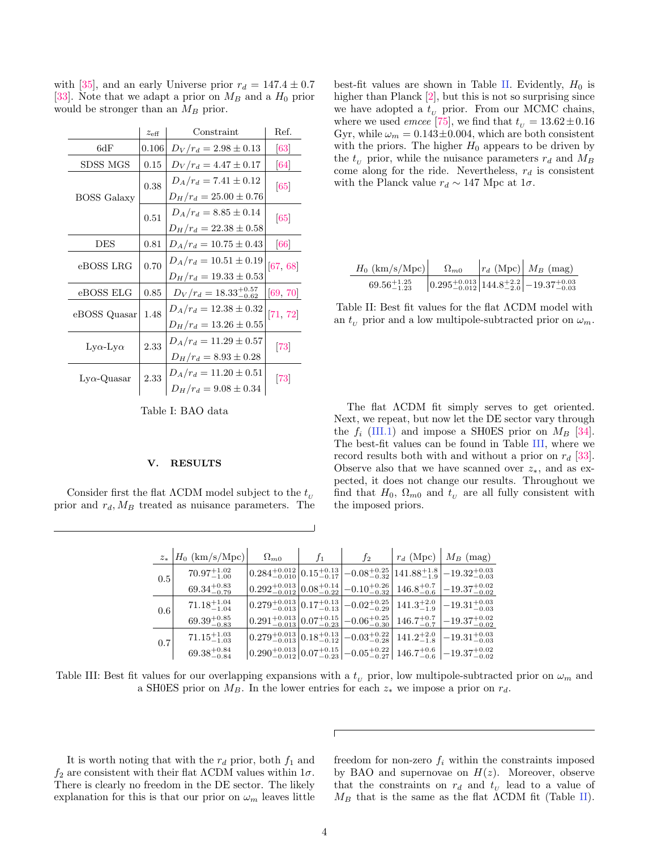with [\[35\]](#page-7-22), and an early Universe prior  $r_d = 147.4 \pm 0.7$ [\[33\]](#page-7-20). Note that we adapt a prior on  $M_B$  and a  $H_0$  prior would be stronger than an  $M_B$  prior.

<span id="page-3-1"></span>

|                         | $z_{\text{eff}}$ | Constraint                                               | Ref.     |
|-------------------------|------------------|----------------------------------------------------------|----------|
| 6dF                     | 0.106            | $D_V/r_d = 2.98 \pm 0.13$                                | 63       |
| SDSS MGS                | 0.15             | $D_V/r_d = 4.47 \pm 0.17$                                | 64       |
|                         | 0.38             | $D_A/r_d = 7.41 \pm 0.12$<br>$D_H/r_d = 25.00 \pm 0.76$  | 65       |
| <b>BOSS</b> Galaxy      | 0.51             | $D_A/r_d = 8.85 \pm 0.14$<br>$D_H/r_d = 22.38 \pm 0.58$  | 65       |
| <b>DES</b>              | 0.81             | $D_A/r_d = 10.75 \pm 0.43$                               | 66       |
| eBOSS LRG               | 0.70             | $D_A/r_d = 10.51 \pm 0.19$<br>$D_H/r_d = 19.33 \pm 0.53$ | [67, 68] |
| eBOSS ELG               | 0.85             | $D_V/r_d = 18.33^{+0.57}_{-0.62}$                        | [69, 70] |
| eBOSS Quasar            | 1.48             | $D_A/r_d = 12.38 \pm 0.32$<br>$D_H/r_d = 13.26 \pm 0.55$ | 71, 72   |
| $Ly\alpha$ -Ly $\alpha$ | 2.33             | $D_A/r_d = 11.29 \pm 0.57$<br>$D_H/r_d = 8.93 \pm 0.28$  | 73       |
| $Ly\alpha$ -Quasar      | 2.33             | $D_A/r_d = 11.20 \pm 0.51$<br>$D_H/r_d = 9.08 \pm 0.34$  | 73       |

Table I: BAO data

#### V. RESULTS

<span id="page-3-0"></span>Consider first the flat  $\Lambda$ CDM model subject to the  $t_{U}$ prior and  $r_d$ ,  $M_B$  treated as nuisance parameters. The

best-fit values are shown in Table [II.](#page-3-2) Evidently,  $H_0$  is higher than Planck [\[2\]](#page-7-0), but this is not so surprising since we have adopted a  $t_U$  prior. From our MCMC chains, where we used *emcee* [\[75\]](#page-8-25), we find that  $t_U = 13.62 \pm 0.16$ Gyr, while  $\omega_m = 0.143 \pm 0.004$ , which are both consistent with the priors. The higher  $H_0$  appears to be driven by the  $t_U$  prior, while the nuisance parameters  $r_d$  and  $M_B$ come along for the ride. Nevertheless,  $r_d$  is consistent with the Planck value  $r_d \sim 147$  Mpc at  $1\sigma$ .

<span id="page-3-2"></span>

| $H_0$ (km/s/Mpc)        | $\Omega_{m0}$ | $ r_d$ (Mpc) $M_B$ (mag)                                                                           |
|-------------------------|---------------|----------------------------------------------------------------------------------------------------|
| $69.56_{-1.23}^{+1.25}$ |               | $\left  0.295_{-0.012}^{+0.013} \right  144.8_{-2.0}^{+2.2} \left  -19.37_{-0.03}^{+0.03} \right $ |

Table II: Best fit values for the flat ΛCDM model with an  $t_{\mu}$  prior and a low multipole-subtracted prior on  $\omega_m$ .

The flat ΛCDM fit simply serves to get oriented. Next, we repeat, but now let the DE sector vary through the  $f_i$  [\(III.1\)](#page-2-1) and impose a SH0ES prior on  $M_B$  [\[34\]](#page-7-21). The best-fit values can be found in Table [III,](#page-3-0) where we record results both with and without a prior on  $r_d$  [\[33\]](#page-7-20). Observe also that we have scanned over  $z_*,$  and as expected, it does not change our results. Throughout we find that  $H_0$ ,  $\Omega_{m0}$  and  $t_U$  are all fully consistent with the imposed priors.

|     | $z_*$   $H_0$ (km/s/Mpc) | $\Omega_{m0}$ | $f_1$ | $f_2$ | $r_d$ (Mpc)   $M_B$ (mag)                                                                                                                                    |
|-----|--------------------------|---------------|-------|-------|--------------------------------------------------------------------------------------------------------------------------------------------------------------|
| 0.5 | $70.97^{+1.02}_{-1.00}$  |               |       |       | $0.284^{+0.012}_{-0.010}\Big 0.15^{+0.13}_{-0.17}\Big  -0.08^{+0.25}_{-0.32}\Big 141.88^{+1.8}_{-1.9}\Big  -19.32^{+0.03}_{-0.03}$                           |
|     | $69.34^{+0.83}_{-0.79}$  |               |       |       | $0.292^{+0.013}_{-0.012}\Big 0.08^{+0.14}_{-0.22}\Big $ $-0.10^{+0.26}_{-0.32}\Big $ 146.8 $^{+0.7}_{-0.6}\Big $ $-19.37^{+0.02}_{-0.02}$                    |
| 0.6 | $71.18_{-1.04}^{+1.04}$  |               |       |       | $0.279_{-0.013}^{+0.013}\Big 0.17_{-0.13}^{+0.13}\Big  -0.02_{-0.29}^{+0.25}\Big 141.3_{-1.9}^{+2.0}\Big  -19.31_{-0.03}^{+0.03}\Big $                       |
|     | $69.39_{-0.83}^{+0.85}$  |               |       |       | $0.291^{+0.013}_{-0.013}\Big 0.07^{+0.15}_{-0.23}\Big  -0.06^{+0.25}_{-0.30}\Big 146.7^{+0.7}_{-0.7}\Big  -19.37^{+0.02}_{-0.02}$                            |
| 0.7 | $71.15_{-1.03}^{+1.03}$  |               |       |       | $\left  0.279^{+0.013}_{-0.013} \right  0.18^{+0.13}_{-0.12} \left  -0.03^{+0.22}_{-0.28} \right  141.2^{+2.0}_{-1.8} \left  -19.31^{+0.03}_{-0.03} \right $ |
|     | $69.38^{+0.84}_{-0.84}$  |               |       |       | $\left  0.290^{+0.013}_{-0.012} \right  0.07^{+0.15}_{-0.23} \left  -0.05^{+0.22}_{-0.27} \right  146.7^{+0.6}_{-0.6} \left  -19.37^{+0.02}_{-0.02} \right $ |

Table III: Best fit values for our overlapping expansions with a  $t_U$  prior, low multipole-subtracted prior on  $\omega_m$  and a SH0ES prior on  $M_B$ . In the lower entries for each  $z_*$  we impose a prior on  $r_d$ .

It is worth noting that with the  $r_d$  prior, both  $f_1$  and  $f_2$  are consistent with their flat  $\Lambda$ CDM values within  $1\sigma$ . There is clearly no freedom in the DE sector. The likely explanation for this is that our prior on  $\omega_m$  leaves little freedom for non-zero  $f_i$  within the constraints imposed by BAO and supernovae on  $H(z)$ . Moreover, observe that the constraints on  $r_d$  and  $t_u$  lead to a value of  $M_B$  that is the same as the flat  $\Lambda$ CDM fit (Table [II\)](#page-3-2).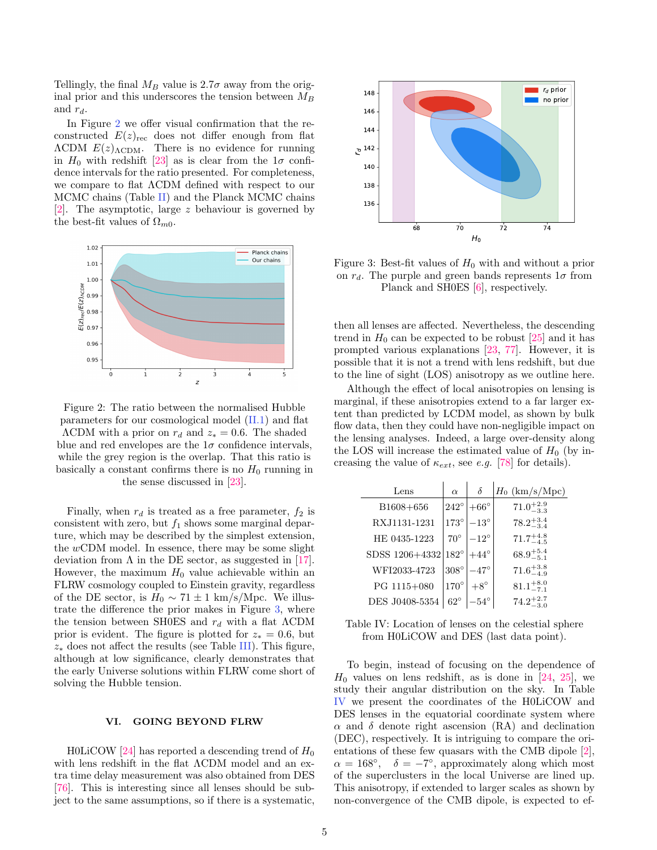Tellingly, the final  $M_B$  value is 2.7 $\sigma$  away from the original prior and this underscores the tension between  $M_B$ and  $r_d$ .

In Figure [2](#page-4-1) we offer visual confirmation that the reconstructed  $E(z)_{\text{rec}}$  does not differ enough from flat  $\Lambda$ CDM  $E(z)$ <sub> $\Lambda$ CDM</sub>. There is no evidence for running in  $H_0$  with redshift [\[23\]](#page-7-15) as is clear from the  $1\sigma$  confidence intervals for the ratio presented. For completeness, we compare to flat ΛCDM defined with respect to our MCMC chains (Table [II\)](#page-3-2) and the Planck MCMC chains [\[2\]](#page-7-0). The asymptotic, large z behaviour is governed by the best-fit values of  $\Omega_{m0}$ .

<span id="page-4-1"></span>

Figure 2: The ratio between the normalised Hubble parameters for our cosmological model [\(II.1\)](#page-1-0) and flat  $\Lambda$ CDM with a prior on  $r_d$  and  $z_* = 0.6$ . The shaded blue and red envelopes are the  $1\sigma$  confidence intervals, while the grey region is the overlap. That this ratio is basically a constant confirms there is no  $H_0$  running in the sense discussed in [\[23\]](#page-7-15).

Finally, when  $r_d$  is treated as a free parameter,  $f_2$  is consistent with zero, but  $f_1$  shows some marginal departure, which may be described by the simplest extension, the wCDM model. In essence, there may be some slight deviation from  $\Lambda$  in the DE sector, as suggested in [\[17\]](#page-7-14). However, the maximum  $H_0$  value achievable within an FLRW cosmology coupled to Einstein gravity, regardless of the DE sector, is  $H_0 \sim 71 \pm 1$  km/s/Mpc. We illustrate the difference the prior makes in Figure [3,](#page-4-2) where the tension between SH0ES and  $r_d$  with a flat  $\Lambda$ CDM prior is evident. The figure is plotted for  $z_* = 0.6$ , but  $z_*$  does not affect the results (see Table [III\)](#page-3-0). This figure, although at low significance, clearly demonstrates that the early Universe solutions within FLRW come short of solving the Hubble tension.

# <span id="page-4-0"></span>VI. GOING BEYOND FLRW

H0LiCOW [\[24\]](#page-7-16) has reported a descending trend of  $H_0$ with lens redshift in the flat ΛCDM model and an extra time delay measurement was also obtained from DES [\[76\]](#page-8-26). This is interesting since all lenses should be subject to the same assumptions, so if there is a systematic,

<span id="page-4-2"></span>

Figure 3: Best-fit values of  $H_0$  with and without a prior on  $r_d$ . The purple and green bands represents  $1\sigma$  from Planck and SH0ES [\[6\]](#page-7-2), respectively.

then all lenses are affected. Nevertheless, the descending trend in  $H_0$  can be expected to be robust  $[25]$  and it has prompted various explanations [\[23,](#page-7-15) [77\]](#page-8-27). However, it is possible that it is not a trend with lens redshift, but due to the line of sight (LOS) anisotropy as we outline here.

Although the effect of local anisotropies on lensing is marginal, if these anisotropies extend to a far larger extent than predicted by LCDM model, as shown by bulk flow data, then they could have non-negligible impact on the lensing analyses. Indeed, a large over-density along the LOS will increase the estimated value of  $H_0$  (by increasing the value of  $\kappa_{ext}$ , see e.g. [\[78\]](#page-8-28) for details).

<span id="page-4-3"></span>

| Lens           | $\alpha$      | $\delta$      | $H_0$ (km/s/Mpc)     |
|----------------|---------------|---------------|----------------------|
| B1608+656      | $242^{\circ}$ | $+66^\circ$   | $71.0^{+2.9}_{-3.3}$ |
| RXJ1131-1231   | $173^\circ$   | $-13^{\circ}$ | $78.2^{+3.4}_{-3.4}$ |
| HE 0435-1223   | $70^{\circ}$  | $-12^{\circ}$ | $71.7^{+4.8}_{-4.5}$ |
| SDSS 1206+4332 | $182^\circ$   | $+44^{\circ}$ | $68.9^{+5.4}_{-5.1}$ |
| WFI2033-4723   | $308^\circ$   | $-47^{\circ}$ | $71.6^{+3.8}_{-4.9}$ |
| PG 1115+080    | $170^\circ$   | $+8^{\circ}$  | $81.1^{+8.0}_{-7.1}$ |
| DES J0408-5354 | $62^{\circ}$  | $-54^{\circ}$ | 74.2                 |

| Table IV: Location of lenses on the celestial sphere |  |
|------------------------------------------------------|--|
| from H0LiCOW and DES (last data point).              |  |

To begin, instead of focusing on the dependence of  $H_0$  values on lens redshift, as is done in [\[24,](#page-7-16) [25\]](#page-7-30), we study their angular distribution on the sky. In Table [IV](#page-4-3) we present the coordinates of the H0LiCOW and DES lenses in the equatorial coordinate system where  $\alpha$  and  $\delta$  denote right ascension (RA) and declination (DEC), respectively. It is intriguing to compare the orientations of these few quasars with the CMB dipole [\[2\]](#page-7-0),  $\alpha = 168^{\circ}, \quad \delta = -7^{\circ},$  approximately along which most of the superclusters in the local Universe are lined up. This anisotropy, if extended to larger scales as shown by non-convergence of the CMB dipole, is expected to ef-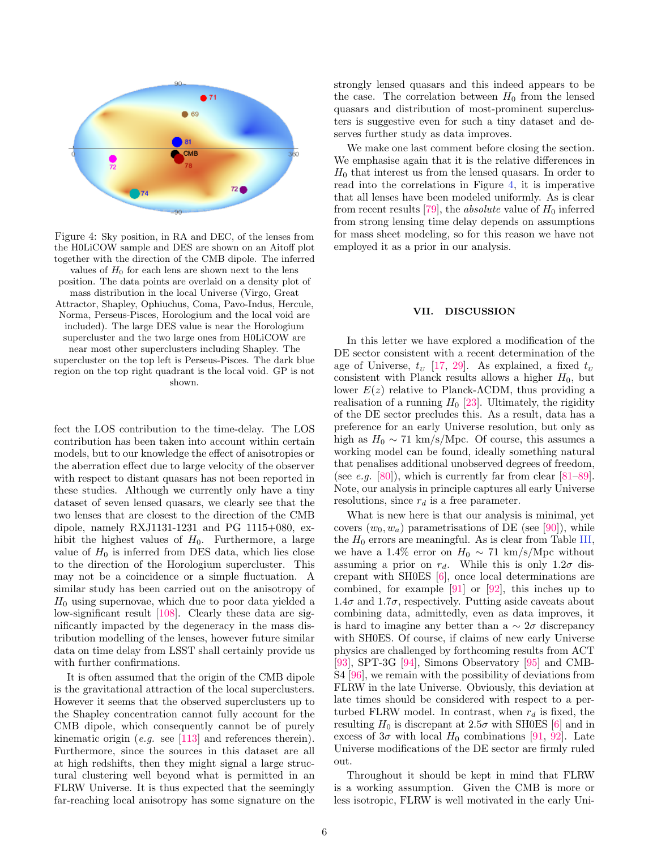<span id="page-5-0"></span>

Figure 4: Sky position, in RA and DEC, of the lenses from the H0LiCOW sample and DES are shown on an Aitoff plot together with the direction of the CMB dipole. The inferred values of  $H_0$  for each lens are shown next to the lens position. The data points are overlaid on a density plot of mass distribution in the local Universe (Virgo, Great Attractor, Shapley, Ophiuchus, Coma, Pavo-Indus, Hercule, Norma, Perseus-Pisces, Horologium and the local void are included). The large DES value is near the Horologium supercluster and the two large ones from H0LiCOW are near most other superclusters including Shapley. The supercluster on the top left is Perseus-Pisces. The dark blue region on the top right quadrant is the local void. GP is not shown.

fect the LOS contribution to the time-delay. The LOS contribution has been taken into account within certain models, but to our knowledge the effect of anisotropies or the aberration effect due to large velocity of the observer with respect to distant quasars has not been reported in these studies. Although we currently only have a tiny dataset of seven lensed quasars, we clearly see that the two lenses that are closest to the direction of the CMB dipole, namely RXJ1131-1231 and PG 1115+080, exhibit the highest values of  $H_0$ . Furthermore, a large value of  $H_0$  is inferred from DES data, which lies close to the direction of the Horologium supercluster. This may not be a coincidence or a simple fluctuation. A similar study has been carried out on the anisotropy of  $H_0$  using supernovae, which due to poor data yielded a low-significant result [\[108\]](#page-9-0). Clearly these data are significantly impacted by the degeneracy in the mass distribution modelling of the lenses, however future similar data on time delay from LSST shall certainly provide us with further confirmations.

It is often assumed that the origin of the CMB dipole is the gravitational attraction of the local superclusters. However it seems that the observed superclusters up to the Shapley concentration cannot fully account for the CMB dipole, which consequently cannot be of purely kinematic origin (*e.g.* see [\[113\]](#page-9-1) and references therein). Furthermore, since the sources in this dataset are all at high redshifts, then they might signal a large structural clustering well beyond what is permitted in an FLRW Universe. It is thus expected that the seemingly far-reaching local anisotropy has some signature on the strongly lensed quasars and this indeed appears to be the case. The correlation between  $H_0$  from the lensed quasars and distribution of most-prominent superclusters is suggestive even for such a tiny dataset and deserves further study as data improves.

We make one last comment before closing the section. We emphasise again that it is the relative differences in  $H_0$  that interest us from the lensed quasars. In order to read into the correlations in Figure [4,](#page-5-0) it is imperative that all lenses have been modeled uniformly. As is clear from recent results [\[79\]](#page-8-29), the *absolute* value of  $H_0$  inferred from strong lensing time delay depends on assumptions for mass sheet modeling, so for this reason we have not employed it as a prior in our analysis.

## VII. DISCUSSION

In this letter we have explored a modification of the DE sector consistent with a recent determination of the age of Universe,  $t_v$  [\[17,](#page-7-14) [29\]](#page-7-18). As explained, a fixed  $t_v$ consistent with Planck results allows a higher  $H_0$ , but lower  $E(z)$  relative to Planck-ΛCDM, thus providing a realisation of a running  $H_0$  [\[23\]](#page-7-15). Ultimately, the rigidity of the DE sector precludes this. As a result, data has a preference for an early Universe resolution, but only as high as  $H_0 \sim 71 \text{ km/s/Mpc}$ . Of course, this assumes a working model can be found, ideally something natural that penalises additional unobserved degrees of freedom, (see e.g. [\[80\]](#page-8-30)), which is currently far from clear  $[81-89]$  $[81-89]$ . Note, our analysis in principle captures all early Universe resolutions, since  $r_d$  is a free parameter.

What is new here is that our analysis is minimal, yet covers  $(w_0, w_a)$  parametrisations of DE (see [\[90\]](#page-8-33)), while the  $H_0$  errors are meaningful. As is clear from Table [III,](#page-3-0) we have a 1.4% error on  $H_0 \sim 71 \text{ km/s/Mpc}$  without assuming a prior on  $r_d$ . While this is only 1.2 $\sigma$  discrepant with SH0ES [\[6\]](#page-7-2), once local determinations are combined, for example [\[91\]](#page-8-34) or [\[92\]](#page-9-2), this inches up to  $1.4\sigma$  and  $1.7\sigma$ , respectively. Putting aside caveats about combining data, admittedly, even as data improves, it is hard to imagine any better than a  $\sim 2\sigma$  discrepancy with SH0ES. Of course, if claims of new early Universe physics are challenged by forthcoming results from ACT [\[93\]](#page-9-3), SPT-3G [\[94\]](#page-9-4), Simons Observatory [\[95\]](#page-9-5) and CMB-S4 [\[96\]](#page-9-6), we remain with the possibility of deviations from FLRW in the late Universe. Obviously, this deviation at late times should be considered with respect to a perturbed FLRW model. In contrast, when  $r_d$  is fixed, the resulting  $H_0$  is discrepant at 2.5 $\sigma$  with SH0ES [\[6\]](#page-7-2) and in excess of  $3\sigma$  with local  $H_0$  combinations [\[91,](#page-8-34) [92\]](#page-9-2). Late Universe modifications of the DE sector are firmly ruled out.

Throughout it should be kept in mind that FLRW is a working assumption. Given the CMB is more or less isotropic, FLRW is well motivated in the early Uni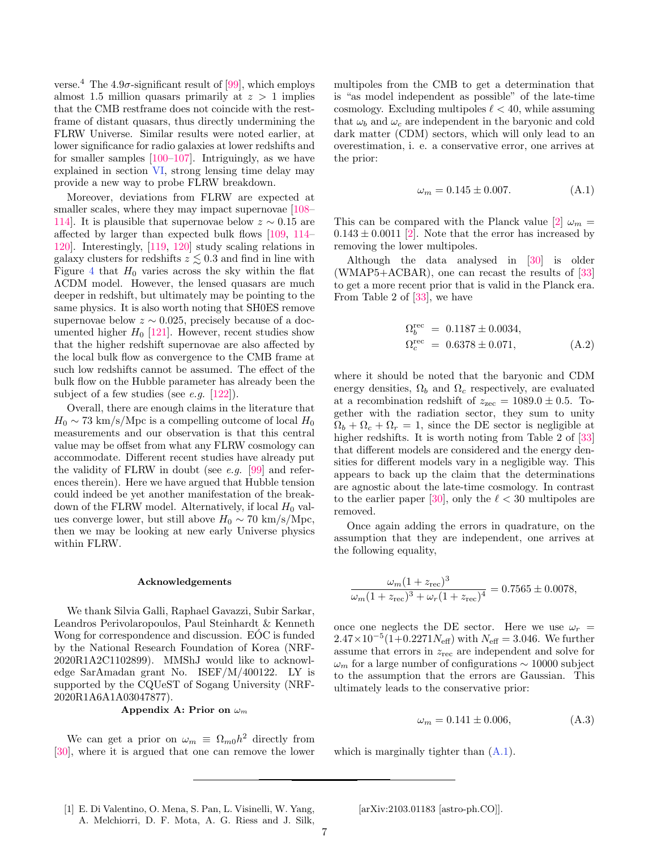verse.<sup>4</sup> The 4.9 $\sigma$ -significant result of [\[99\]](#page-9-7), which employs almost 1.5 million quasars primarily at  $z > 1$  implies that the CMB restframe does not coincide with the restframe of distant quasars, thus directly undermining the FLRW Universe. Similar results were noted earlier, at lower significance for radio galaxies at lower redshifts and for smaller samples [\[100–](#page-9-8)[107\]](#page-9-9). Intriguingly, as we have explained in section [VI,](#page-4-0) strong lensing time delay may provide a new way to probe FLRW breakdown.

Moreover, deviations from FLRW are expected at smaller scales, where they may impact supernovae  $[108-$ [114\]](#page-9-10). It is plausible that supernovae below  $z \sim 0.15$  are affected by larger than expected bulk flows [\[109,](#page-9-11) [114–](#page-9-10) [120\]](#page-9-12). Interestingly, [\[119,](#page-9-13) [120\]](#page-9-12) study scaling relations in galaxy clusters for redshifts  $z \lesssim 0.3$  and find in line with Figure [4](#page-5-0) that  $H_0$  varies across the sky within the flat ΛCDM model. However, the lensed quasars are much deeper in redshift, but ultimately may be pointing to the same physics. It is also worth noting that SH0ES remove supernovae below  $z \sim 0.025$ , precisely because of a documented higher  $H_0$  [\[121\]](#page-9-14). However, recent studies show that the higher redshift supernovae are also affected by the local bulk flow as convergence to the CMB frame at such low redshifts cannot be assumed. The effect of the bulk flow on the Hubble parameter has already been the subject of a few studies (see *e.g.*  $[122]$ ).

Overall, there are enough claims in the literature that  $H_0 \sim 73 \text{ km/s/Mpc}$  is a compelling outcome of local  $H_0$ measurements and our observation is that this central value may be offset from what any FLRW cosmology can accommodate. Different recent studies have already put the validity of FLRW in doubt (see *e.g.* [\[99\]](#page-9-7) and references therein). Here we have argued that Hubble tension could indeed be yet another manifestation of the breakdown of the FLRW model. Alternatively, if local  $H_0$  values converge lower, but still above  $H_0 \sim 70 \text{ km/s/Mpc}$ , then we may be looking at new early Universe physics within FLRW.

### Acknowledgements

We thank Silvia Galli, Raphael Gavazzi, Subir Sarkar, Leandros Perivolaropoulos, Paul Steinhardt & Kenneth Wong for correspondence and discussion. EOC is funded by the National Research Foundation of Korea (NRF-2020R1A2C1102899). MMShJ would like to acknowledge SarAmadan grant No. ISEF/M/400122. LY is supported by the CQUeST of Sogang University (NRF-2020R1A6A1A03047877).

# <span id="page-6-1"></span>Appendix A: Prior on  $\omega_m$

We can get a prior on  $\omega_m \equiv \Omega_{m0} h^2$  directly from [\[30\]](#page-7-19), where it is argued that one can remove the lower multipoles from the CMB to get a determination that is "as model independent as possible" of the late-time cosmology. Excluding multipoles  $\ell < 40$ , while assuming that  $\omega_b$  and  $\omega_c$  are independent in the baryonic and cold dark matter (CDM) sectors, which will only lead to an overestimation, i. e. a conservative error, one arrives at the prior:

<span id="page-6-2"></span>
$$
\omega_m = 0.145 \pm 0.007. \tag{A.1}
$$

This can be compared with the Planck value [\[2\]](#page-7-0)  $\omega_m$  =  $0.143 \pm 0.0011$  [\[2\]](#page-7-0). Note that the error has increased by removing the lower multipoles.

Although the data analysed in [\[30\]](#page-7-19) is older (WMAP5+ACBAR), one can recast the results of [\[33\]](#page-7-20) to get a more recent prior that is valid in the Planck era. From Table 2 of [\[33\]](#page-7-20), we have

$$
\Omega_b^{\text{rec}} = 0.1187 \pm 0.0034,
$$
  
\n
$$
\Omega_c^{\text{rec}} = 0.6378 \pm 0.071,
$$
\n(A.2)

where it should be noted that the baryonic and CDM energy densities,  $\Omega_b$  and  $\Omega_c$  respectively, are evaluated at a recombination redshift of  $z_{\text{zec}} = 1089.0 \pm 0.5$ . Together with the radiation sector, they sum to unity  $\Omega_b + \Omega_c + \Omega_r = 1$ , since the DE sector is negligible at higher redshifts. It is worth noting from Table 2 of [\[33\]](#page-7-20) that different models are considered and the energy densities for different models vary in a negligible way. This appears to back up the claim that the determinations are agnostic about the late-time cosmology. In contrast to the earlier paper [\[30\]](#page-7-19), only the  $\ell < 30$  multipoles are removed.

Once again adding the errors in quadrature, on the assumption that they are independent, one arrives at the following equality,

$$
\frac{\omega_m (1 + z_{\text{rec}})^3}{\omega_m (1 + z_{\text{rec}})^3 + \omega_r (1 + z_{\text{rec}})^4} = 0.7565 \pm 0.0078,
$$

once one neglects the DE sector. Here we use  $\omega_r =$  $2.47 \times 10^{-5} (1+0.2271 N_{\text{eff}})$  with  $N_{\text{eff}} = 3.046$ . We further assume that errors in  $z_{\text{rec}}$  are independent and solve for  $\omega_m$  for a large number of configurations  $\sim 10000$  subject to the assumption that the errors are Gaussian. This ultimately leads to the conservative prior:

$$
\omega_m = 0.141 \pm 0.006, \tag{A.3}
$$

which is marginally tighter than  $(A.1)$ .

<span id="page-6-0"></span>[1] E. Di Valentino, O. Mena, S. Pan, L. Visinelli, W. Yang, A. Melchiorri, D. F. Mota, A. G. Riess and J. Silk, [arXiv:2103.01183 [astro-ph.CO]].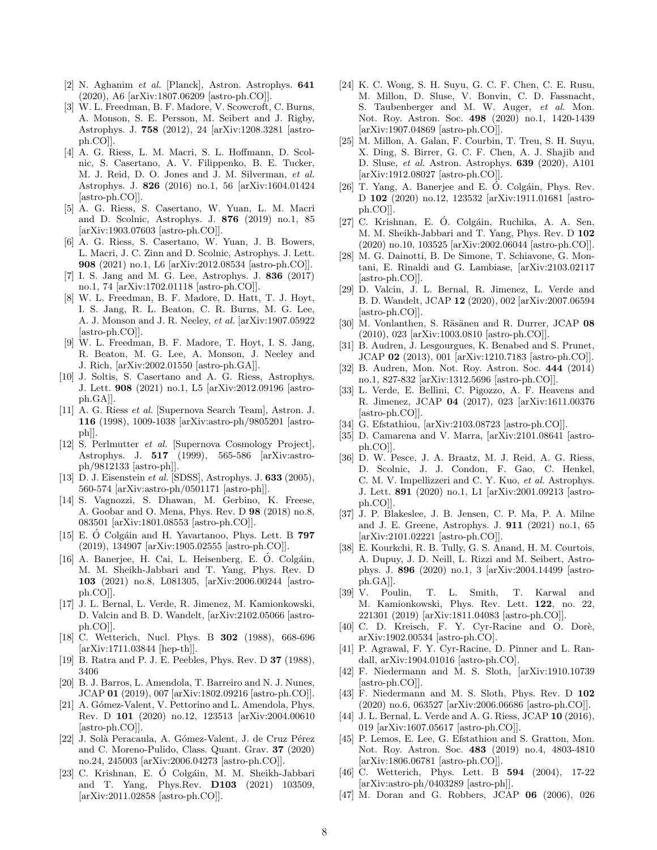- <span id="page-7-0"></span>[2] N. Aghanim et al. [Planck], Astron. Astrophys. 641 (2020), A6 [arXiv:1807.06209 [astro-ph.CO]].
- <span id="page-7-1"></span>[3] W. L. Freedman, B. F. Madore, V. Scowcroft, C. Burns, A. Monson, S. E. Persson, M. Seibert and J. Rigby, Astrophys. J. 758 (2012), 24 [arXiv:1208.3281 [astroph.CO]].
- [4] A. G. Riess, L. M. Macri, S. L. Hoffmann, D. Scolnic, S. Casertano, A. V. Filippenko, B. E. Tucker, M. J. Reid, D. O. Jones and J. M. Silverman, et al. Astrophys. J. 826 (2016) no.1, 56 [arXiv:1604.01424 [astro-ph.CO]].
- [5] A. G. Riess, S. Casertano, W. Yuan, L. M. Macri and D. Scolnic, Astrophys. J. 876 (2019) no.1, 85 [arXiv:1903.07603 [astro-ph.CO]].
- <span id="page-7-2"></span>[6] A. G. Riess, S. Casertano, W. Yuan, J. B. Bowers, L. Macri, J. C. Zinn and D. Scolnic, Astrophys. J. Lett. 908 (2021) no.1, L6 [arXiv:2012.08534 [astro-ph.CO]].
- <span id="page-7-3"></span>[7] I. S. Jang and M. G. Lee, Astrophys. J. 836 (2017) no.1, 74 [arXiv:1702.01118 [astro-ph.CO]].
- [8] W. L. Freedman, B. F. Madore, D. Hatt, T. J. Hoyt, I. S. Jang, R. L. Beaton, C. R. Burns, M. G. Lee, A. J. Monson and J. R. Neeley, et al. [arXiv:1907.05922 [astro-ph.CO]].
- [9] W. L. Freedman, B. F. Madore, T. Hoyt, I. S. Jang, R. Beaton, M. G. Lee, A. Monson, J. Neeley and J. Rich, [arXiv:2002.01550 [astro-ph.GA]].
- <span id="page-7-4"></span>[10] J. Soltis, S. Casertano and A. G. Riess, Astrophys. J. Lett. 908 (2021) no.1, L5 [arXiv:2012.09196 [astroph.GA]].
- <span id="page-7-5"></span>[11] A. G. Riess et al. [Supernova Search Team], Astron. J. 116 (1998), 1009-1038 [arXiv:astro-ph/9805201 [astroph]].
- <span id="page-7-6"></span>[12] S. Perlmutter et al. [Supernova Cosmology Project], Astrophys. J. 517 (1999), 565-586 [arXiv:astroph/9812133 [astro-ph]].
- <span id="page-7-7"></span>[13] D. J. Eisenstein et al. [SDSS], Astrophys. J. **633** (2005), 560-574 [arXiv:astro-ph/0501171 [astro-ph]].
- <span id="page-7-8"></span>[14] S. Vagnozzi, S. Dhawan, M. Gerbino, K. Freese, A. Goobar and O. Mena, Phys. Rev. D 98 (2018) no.8, 083501 [arXiv:1801.08553 [astro-ph.CO]].
- [15] E. Ó Colgáin and H. Yavartanoo, Phys. Lett. B  $797$ (2019), 134907 [arXiv:1905.02555 [astro-ph.CO]].
- <span id="page-7-9"></span> $[16]$  A. Banerjee, H. Cai, L. Heisenberg, E. Ó. Colgáin, M. M. Sheikh-Jabbari and T. Yang, Phys. Rev. D 103 (2021) no.8, L081305, [arXiv:2006.00244 [astroph.CO]].
- <span id="page-7-14"></span>[17] J. L. Bernal, L. Verde, R. Jimenez, M. Kamionkowski, D. Valcin and B. D. Wandelt, [arXiv:2102.05066 [astroph.CO]].
- <span id="page-7-10"></span>[18] C. Wetterich, Nucl. Phys. B 302 (1988), 668-696 [arXiv:1711.03844 [hep-th]].
- <span id="page-7-11"></span>[19] B. Ratra and P. J. E. Peebles, Phys. Rev. D 37 (1988), 3406
- <span id="page-7-12"></span>[20] B. J. Barros, L. Amendola, T. Barreiro and N. J. Nunes, JCAP 01 (2019), 007 [arXiv:1802.09216 [astro-ph.CO]].
- [21] A. Gómez-Valent, V. Pettorino and L. Amendola, Phys. Rev. D 101 (2020) no.12, 123513 [arXiv:2004.00610 [astro-ph.CO]].
- <span id="page-7-13"></span>[22] J. Solà Peracaula, A. Gómez-Valent, J. de Cruz Pérez and C. Moreno-Pulido, Class. Quant. Grav. 37 (2020) no.24, 245003 [arXiv:2006.04273 [astro-ph.CO]].
- <span id="page-7-15"></span>[23] C. Krishnan, E. Ó Colgáin, M. M. Sheikh-Jabbari and T. Yang, Phys.Rev. D103 (2021) 103509, [arXiv:2011.02858 [astro-ph.CO]].
- <span id="page-7-16"></span>[24] K. C. Wong, S. H. Suyu, G. C. F. Chen, C. E. Rusu, M. Millon, D. Sluse, V. Bonvin, C. D. Fassnacht, S. Taubenberger and M. W. Auger, et al. Mon. Not. Roy. Astron. Soc. 498 (2020) no.1, 1420-1439 [arXiv:1907.04869 [astro-ph.CO]].
- <span id="page-7-30"></span>[25] M. Millon, A. Galan, F. Courbin, T. Treu, S. H. Suyu, X. Ding, S. Birrer, G. C. F. Chen, A. J. Shajib and D. Sluse, et al. Astron. Astrophys. 639 (2020), A101 [arXiv:1912.08027 [astro-ph.CO]].
- [26] T. Yang, A. Banerjee and E. Ó. Colgáin, Phys. Rev. D 102 (2020) no.12, 123532 [arXiv:1911.01681 [astroph.CO]].
- [27] C. Krishnan, E. Ó. Colgáin, Ruchika, A. A. Sen, M. M. Sheikh-Jabbari and T. Yang, Phys. Rev. D 102 (2020) no.10, 103525 [arXiv:2002.06044 [astro-ph.CO]].
- <span id="page-7-17"></span>[28] M. G. Dainotti, B. De Simone, T. Schiavone, G. Montani, E. Rinaldi and G. Lambiase, [arXiv:2103.02117 [astro-ph.CO]].
- <span id="page-7-18"></span>[29] D. Valcin, J. L. Bernal, R. Jimenez, L. Verde and B. D. Wandelt, JCAP 12 (2020), 002 [arXiv:2007.06594 [astro-ph.CO]].
- <span id="page-7-19"></span>[30] M. Vonlanthen, S. Räsänen and R. Durrer, JCAP 08 (2010), 023 [arXiv:1003.0810 [astro-ph.CO]].
- [31] B. Audren, J. Lesgourgues, K. Benabed and S. Prunet, JCAP 02 (2013), 001 [arXiv:1210.7183 [astro-ph.CO]].
- [32] B. Audren, Mon. Not. Roy. Astron. Soc. 444 (2014) no.1, 827-832 [arXiv:1312.5696 [astro-ph.CO]].
- <span id="page-7-20"></span>[33] L. Verde, E. Bellini, C. Pigozzo, A. F. Heavens and R. Jimenez, JCAP 04 (2017), 023 [arXiv:1611.00376 [astro-ph.CO]].
- <span id="page-7-21"></span>[34] G. Efstathiou, [arXiv:2103.08723 [astro-ph.CO]].
- <span id="page-7-22"></span>[35] D. Camarena and V. Marra, [arXiv:2101.08641 [astroph.CO]].
- <span id="page-7-23"></span>[36] D. W. Pesce, J. A. Braatz, M. J. Reid, A. G. Riess, D. Scolnic, J. J. Condon, F. Gao, C. Henkel, C. M. V. Impellizzeri and C. Y. Kuo, et al. Astrophys. J. Lett. 891 (2020) no.1, L1 [arXiv:2001.09213 [astroph.CO]].
- <span id="page-7-24"></span>[37] J. P. Blakeslee, J. B. Jensen, C. P. Ma, P. A. Milne and J. E. Greene, Astrophys. J. 911 (2021) no.1, 65 [arXiv:2101.02221 [astro-ph.CO]].
- <span id="page-7-25"></span>[38] E. Kourkchi, R. B. Tully, G. S. Anand, H. M. Courtois, A. Dupuy, J. D. Neill, L. Rizzi and M. Seibert, Astrophys. J. 896 (2020) no.1, 3 [arXiv:2004.14499 [astroph.GA]].
- <span id="page-7-26"></span>[39] V. Poulin, T. L. Smith, T. Karwal and M. Kamionkowski, Phys. Rev. Lett. 122, no. 22, 221301 (2019) [arXiv:1811.04083 [astro-ph.CO]].
- [40] C. D. Kreisch, F. Y. Cyr-Racine and O. Dorè, arXiv:1902.00534 [astro-ph.CO].
- [41] P. Agrawal, F. Y. Cyr-Racine, D. Pinner and L. Randall, arXiv:1904.01016 [astro-ph.CO].
- <span id="page-7-33"></span>[42] F. Niedermann and M. S. Sloth, [arXiv:1910.10739 [astro-ph.CO]].
- <span id="page-7-27"></span>[43] F. Niedermann and M. S. Sloth, Phys. Rev. D 102 (2020) no.6, 063527 [arXiv:2006.06686 [astro-ph.CO]].
- <span id="page-7-28"></span>[44] J. L. Bernal, L. Verde and A. G. Riess, JCAP 10 (2016), 019 [arXiv:1607.05617 [astro-ph.CO]].
- <span id="page-7-29"></span>[45] P. Lemos, E. Lee, G. Efstathiou and S. Gratton, Mon. Not. Roy. Astron. Soc. 483 (2019) no.4, 4803-4810 [arXiv:1806.06781 [astro-ph.CO]].
- <span id="page-7-31"></span>[46] C. Wetterich, Phys. Lett. B **594** (2004), 17-22 [arXiv:astro-ph/0403289 [astro-ph]].
- <span id="page-7-32"></span>[47] M. Doran and G. Robbers, JCAP 06 (2006), 026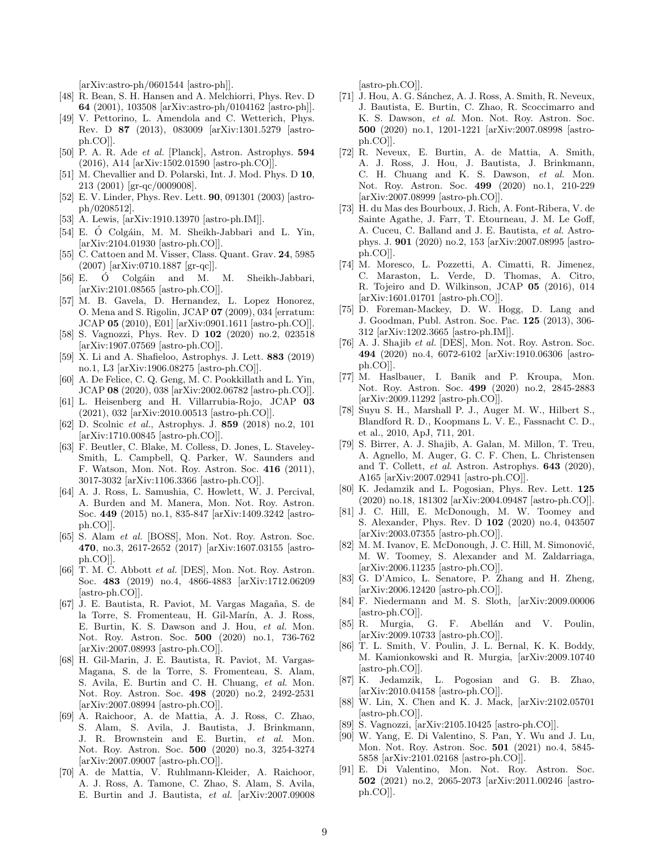[arXiv:astro-ph/0601544 [astro-ph]].

- <span id="page-8-3"></span>[48] R. Bean, S. H. Hansen and A. Melchiorri, Phys. Rev. D 64 (2001), 103508 [arXiv:astro-ph/0104162 [astro-ph]].
- [49] V. Pettorino, L. Amendola and C. Wetterich, Phys. Rev. D 87 (2013), 083009 [arXiv:1301.5279 [astroph.CO]].
- <span id="page-8-4"></span>[50] P. A. R. Ade et al. [Planck], Astron. Astrophys. 594 (2016), A14 [arXiv:1502.01590 [astro-ph.CO]].
- <span id="page-8-0"></span>[51] M. Chevallier and D. Polarski, Int. J. Mod. Phys. D 10, 213 (2001) [gr-qc/0009008].
- <span id="page-8-1"></span>[52] E. V. Linder, Phys. Rev. Lett. 90, 091301 (2003) [astroph/0208512].
- <span id="page-8-2"></span>[53] A. Lewis, [arXiv:1910.13970 [astro-ph.IM]].
- <span id="page-8-5"></span>[54] E. Ó Colgáin, M. M. Sheikh-Jabbari and L. Yin, [arXiv:2104.01930 [astro-ph.CO]].
- <span id="page-8-6"></span>[55] C. Cattoen and M. Visser, Class. Quant. Grav. 24, 5985 (2007) [arXiv:0710.1887 [gr-qc]].
- <span id="page-8-7"></span>[56] E. Ó Colgáin and M. M. Sheikh-Jabbari, [arXiv:2101.08565 [astro-ph.CO]].
- <span id="page-8-8"></span>[57] M. B. Gavela, D. Hernandez, L. Lopez Honorez, O. Mena and S. Rigolin, JCAP 07 (2009), 034 [erratum: JCAP 05 (2010), E01] [arXiv:0901.1611 [astro-ph.CO]].
- <span id="page-8-9"></span>[58] S. Vagnozzi, Phys. Rev. D 102 (2020) no.2, 023518 [arXiv:1907.07569 [astro-ph.CO]].
- <span id="page-8-10"></span>[59] X. Li and A. Shafieloo, Astrophys. J. Lett. 883 (2019) no.1, L3 [arXiv:1906.08275 [astro-ph.CO]].
- [60] A. De Felice, C. Q. Geng, M. C. Pookkillath and L. Yin, JCAP 08 (2020), 038 [arXiv:2002.06782 [astro-ph.CO]].
- <span id="page-8-11"></span>[61] L. Heisenberg and H. Villarrubia-Rojo, JCAP 03 (2021), 032 [arXiv:2010.00513 [astro-ph.CO]].
- <span id="page-8-12"></span>[62] D. Scolnic et al., Astrophys. J. 859 (2018) no.2, 101 [arXiv:1710.00845 [astro-ph.CO]].
- <span id="page-8-13"></span>[63] F. Beutler, C. Blake, M. Colless, D. Jones, L. Staveley-Smith, L. Campbell, Q. Parker, W. Saunders and F. Watson, Mon. Not. Roy. Astron. Soc. 416 (2011), 3017-3032 [arXiv:1106.3366 [astro-ph.CO]].
- <span id="page-8-16"></span>[64] A. J. Ross, L. Samushia, C. Howlett, W. J. Percival, A. Burden and M. Manera, Mon. Not. Roy. Astron. Soc. 449 (2015) no.1, 835-847 [arXiv:1409.3242 [astroph.CO]].
- <span id="page-8-17"></span>[65] S. Alam et al. [BOSS], Mon. Not. Roy. Astron. Soc. 470, no.3, 2617-2652 (2017) [arXiv:1607.03155 [astroph.CO]].
- <span id="page-8-18"></span>[66] T. M. C. Abbott et al. [DES], Mon. Not. Roy. Astron. Soc. 483 (2019) no.4, 4866-4883 [arXiv:1712.06209 [astro-ph.CO]].
- <span id="page-8-19"></span>[67] J. E. Bautista, R. Paviot, M. Vargas Magaña, S. de la Torre, S. Fromenteau, H. Gil-Marín, A. J. Ross, E. Burtin, K. S. Dawson and J. Hou, et al. Mon. Not. Roy. Astron. Soc. 500 (2020) no.1, 736-762 [arXiv:2007.08993 [astro-ph.CO]].
- <span id="page-8-20"></span>[68] H. Gil-Marin, J. E. Bautista, R. Paviot, M. Vargas-Magana, S. de la Torre, S. Fromenteau, S. Alam, S. Avila, E. Burtin and C. H. Chuang, et al. Mon. Not. Roy. Astron. Soc. 498 (2020) no.2, 2492-2531 [arXiv:2007.08994 [astro-ph.CO]].
- <span id="page-8-21"></span>[69] A. Raichoor, A. de Mattia, A. J. Ross, C. Zhao, S. Alam, S. Avila, J. Bautista, J. Brinkmann, J. R. Brownstein and E. Burtin, et al. Mon. Not. Roy. Astron. Soc. 500 (2020) no.3, 3254-3274 [arXiv:2007.09007 [astro-ph.CO]].
- <span id="page-8-22"></span>[70] A. de Mattia, V. Ruhlmann-Kleider, A. Raichoor, A. J. Ross, A. Tamone, C. Zhao, S. Alam, S. Avila, E. Burtin and J. Bautista, et al. [arXiv:2007.09008

[astro-ph.CO]].

- <span id="page-8-23"></span>[71] J. Hou, A. G. Sánchez, A. J. Ross, A. Smith, R. Neveux, J. Bautista, E. Burtin, C. Zhao, R. Scoccimarro and K. S. Dawson, et al. Mon. Not. Roy. Astron. Soc. 500 (2020) no.1, 1201-1221 [arXiv:2007.08998 [astroph.CO]].
- <span id="page-8-24"></span>[72] R. Neveux, E. Burtin, A. de Mattia, A. Smith, A. J. Ross, J. Hou, J. Bautista, J. Brinkmann, C. H. Chuang and K. S. Dawson, et al. Mon. Not. Roy. Astron. Soc. 499 (2020) no.1, 210-229 [arXiv:2007.08999 [astro-ph.CO]].
- <span id="page-8-14"></span>[73] H. du Mas des Bourboux, J. Rich, A. Font-Ribera, V. de Sainte Agathe, J. Farr, T. Etourneau, J. M. Le Goff, A. Cuceu, C. Balland and J. E. Bautista, et al. Astrophys. J. 901 (2020) no.2, 153 [arXiv:2007.08995 [astroph.CO]].
- <span id="page-8-15"></span>[74] M. Moresco, L. Pozzetti, A. Cimatti, R. Jimenez, C. Maraston, L. Verde, D. Thomas, A. Citro, R. Tojeiro and D. Wilkinson, JCAP 05 (2016), 014 [arXiv:1601.01701 [astro-ph.CO]].
- <span id="page-8-25"></span>[75] D. Foreman-Mackey, D. W. Hogg, D. Lang and J. Goodman, Publ. Astron. Soc. Pac. 125 (2013), 306- 312 [arXiv:1202.3665 [astro-ph.IM]].
- <span id="page-8-26"></span>[76] A. J. Shajib et al. [DES], Mon. Not. Roy. Astron. Soc. 494 (2020) no.4, 6072-6102 [arXiv:1910.06306 [astroph.CO]].
- <span id="page-8-27"></span>[77] M. Haslbauer, I. Banik and P. Kroupa, Mon. Not. Roy. Astron. Soc. 499 (2020) no.2, 2845-2883 [arXiv:2009.11292 [astro-ph.CO]].
- <span id="page-8-28"></span>[78] Suyu S. H., Marshall P. J., Auger M. W., Hilbert S., Blandford R. D., Koopmans L. V. E., Fassnacht C. D., et al., 2010, ApJ, 711, 201.
- <span id="page-8-29"></span>[79] S. Birrer, A. J. Shajib, A. Galan, M. Millon, T. Treu, A. Agnello, M. Auger, G. C. F. Chen, L. Christensen and T. Collett, et al. Astron. Astrophys. 643 (2020), A165 [arXiv:2007.02941 [astro-ph.CO]].
- <span id="page-8-30"></span>[80] K. Jedamzik and L. Pogosian, Phys. Rev. Lett. 125 (2020) no.18, 181302 [arXiv:2004.09487 [astro-ph.CO]].
- <span id="page-8-31"></span>[81] J. C. Hill, E. McDonough, M. W. Toomey and S. Alexander, Phys. Rev. D 102 (2020) no.4, 043507 [arXiv:2003.07355 [astro-ph.CO]].
- [82] M. M. Ivanov, E. McDonough, J. C. Hill, M. Simonović, M. W. Toomey, S. Alexander and M. Zaldarriaga, [arXiv:2006.11235 [astro-ph.CO]].
- [83] G. D'Amico, L. Senatore, P. Zhang and H. Zheng, [arXiv:2006.12420 [astro-ph.CO]].
- [84] F. Niedermann and M. S. Sloth, [arXiv:2009.00006 [astro-ph.CO]].
- [85] R. Murgia, G. F. Abellán and V. Poulin, [arXiv:2009.10733 [astro-ph.CO]].
- [86] T. L. Smith, V. Poulin, J. L. Bernal, K. K. Boddy, M. Kamionkowski and R. Murgia, [arXiv:2009.10740 [astro-ph.CO]].
- [87] K. Jedamzik, L. Pogosian and G. B. Zhao, [arXiv:2010.04158 [astro-ph.CO]].
- [88] W. Lin, X. Chen and K. J. Mack, [arXiv:2102.05701 [astro-ph.CO]].
- <span id="page-8-32"></span>[89] S. Vagnozzi, [arXiv:2105.10425 [astro-ph.CO]].
- <span id="page-8-33"></span>[90] W. Yang, E. Di Valentino, S. Pan, Y. Wu and J. Lu, Mon. Not. Roy. Astron. Soc. 501 (2021) no.4, 5845- 5858 [arXiv:2101.02168 [astro-ph.CO]].
- <span id="page-8-34"></span>[91] E. Di Valentino, Mon. Not. Roy. Astron. Soc. 502 (2021) no.2, 2065-2073 [arXiv:2011.00246 [astroph.CO]].